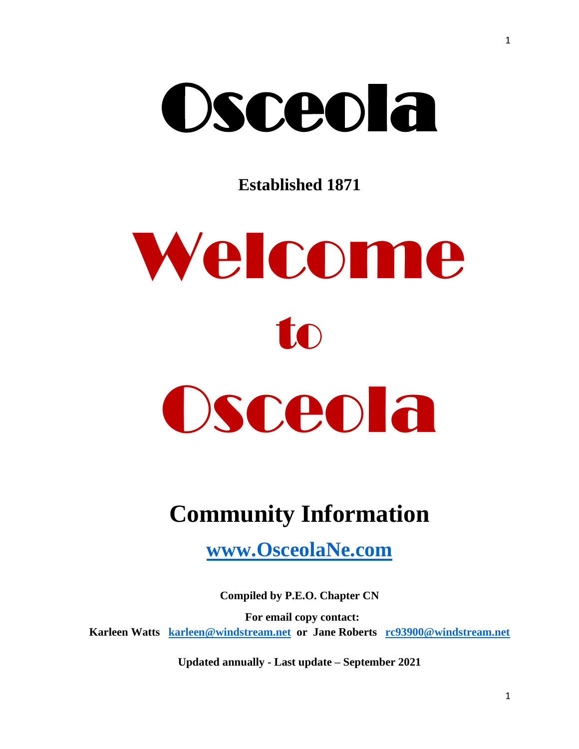# Osceola

**Established 1871**



# **Community Information**

**[www.OsceolaNe.com](http://www.osceolane.com/)**

**Compiled by P.E.O. Chapter CN For email copy contact: Karleen Watts [karleen@windstream.net](mailto:karleen@windstream.net) or Jane Roberts [rc93900@windstream.net](mailto:rc93900@windstream.net)**

**Updated annually - Last update – September 2021**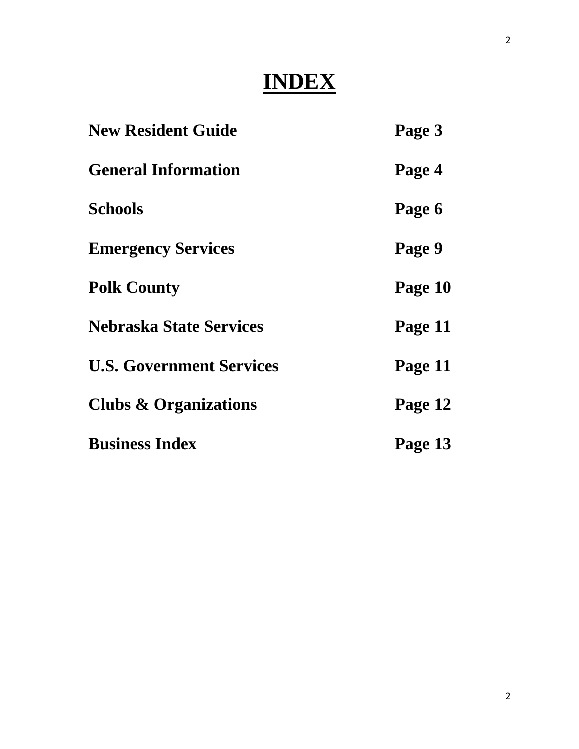# **INDEX**

| <b>New Resident Guide</b>        | Page 3  |
|----------------------------------|---------|
| <b>General Information</b>       | Page 4  |
| <b>Schools</b>                   | Page 6  |
| <b>Emergency Services</b>        | Page 9  |
| <b>Polk County</b>               | Page 10 |
| <b>Nebraska State Services</b>   | Page 11 |
| <b>U.S. Government Services</b>  | Page 11 |
| <b>Clubs &amp; Organizations</b> | Page 12 |
| <b>Business Index</b>            | Page 13 |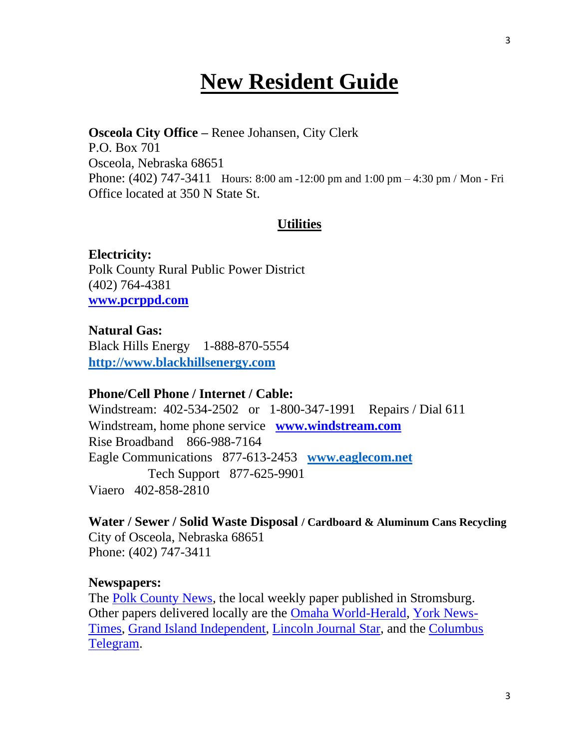# **New Resident Guide**

**Osceola City Office –** Renee Johansen, City Clerk P.O. Box 701 Osceola, Nebraska 68651 Phone: (402) 747-3411 Hours: 8:00 am -12:00 pm and 1:00 pm – 4:30 pm / Mon - Fri Office located at 350 N State St.

#### **Utilities**

**Electricity:** Polk County Rural Public Power District (402) 764-4381 **[www.pcrppd.com](http://www.pcrppd.com/)**

**Natural Gas:** Black Hills Energy 1-888-870-5554 **[http://www.blackhillsenergy.com](http://www.blackhillsenergy.com/)**

#### **Phone/Cell Phone / Internet / Cable:**

Windstream: 402-534-2502 or 1-800-347-1991 Repairs / Dial 611 Windstream, home phone service **[www.windstream.com](http://www.windstream.com/)** Rise Broadband 866-988-7164 Eagle Communications 877-613-2453 **[www.eaglecom.net](http://www.eaglecom.net/)** Tech Support 877-625-9901 Viaero 402-858-2810

**Water / Sewer / Solid Waste Disposal / Cardboard & Aluminum Cans Recycling** City of Osceola, Nebraska 68651 Phone: (402) 747-3411

#### **Newspapers:**

The [Polk County News,](http://www.polkcountynewspaper.com/) the local weekly paper published in Stromsburg. Other papers delivered locally are the [Omaha World-Herald,](http://www.omahaworldherald.com/) [York News-](http://www.yorknewstimes.com/)[Times,](http://www.yorknewstimes.com/) [Grand Island Independent,](http://www.theindependent.com/) [Lincoln Journal Star,](http://www.journalstar.com/) and the [Columbus](http://www.columbustelegram.com/)  [Telegram.](http://www.columbustelegram.com/)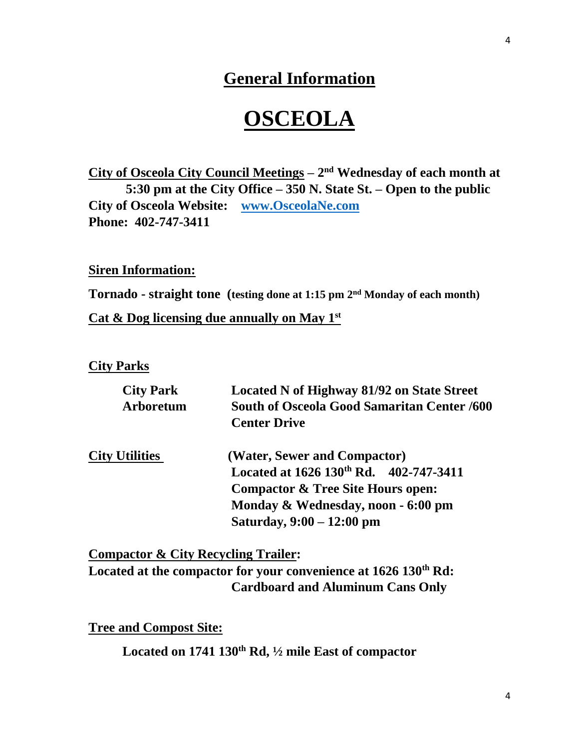## **General Information**

# **OSCEOLA**

**City of Osceola City Council Meetings – 2 nd Wednesday of each month at 5:30 pm at the City Office – 350 N. State St. – Open to the public City of Osceola Website: [www.OsceolaNe.com](http://www.osceolane.com/) Phone: 402-747-3411**

**Siren Information:**

**Tornado - straight tone (testing done at 1:15 pm 2nd Monday of each month)**

**Cat & Dog licensing due annually on May 1st** 

**City Parks**

| <b>City Park</b><br><b>Arboretum</b> | Located N of Highway 81/92 on State Street<br><b>South of Osceola Good Samaritan Center /600</b><br><b>Center Drive</b> |  |
|--------------------------------------|-------------------------------------------------------------------------------------------------------------------------|--|
| <b>City Utilities</b>                | (Water, Sewer and Compactor)                                                                                            |  |
|                                      | Located at 1626 130th Rd. 402-747-3411                                                                                  |  |
|                                      | <b>Compactor &amp; Tree Site Hours open:</b>                                                                            |  |
|                                      | Monday & Wednesday, noon - 6:00 pm                                                                                      |  |
|                                      | Saturday, 9:00 - 12:00 pm                                                                                               |  |

**Compactor & City Recycling Trailer: Located at the compactor for your convenience at 1626 130th Rd: Cardboard and Aluminum Cans Only** 

**Tree and Compost Site:** 

**Located on 1741 130th Rd, ½ mile East of compactor**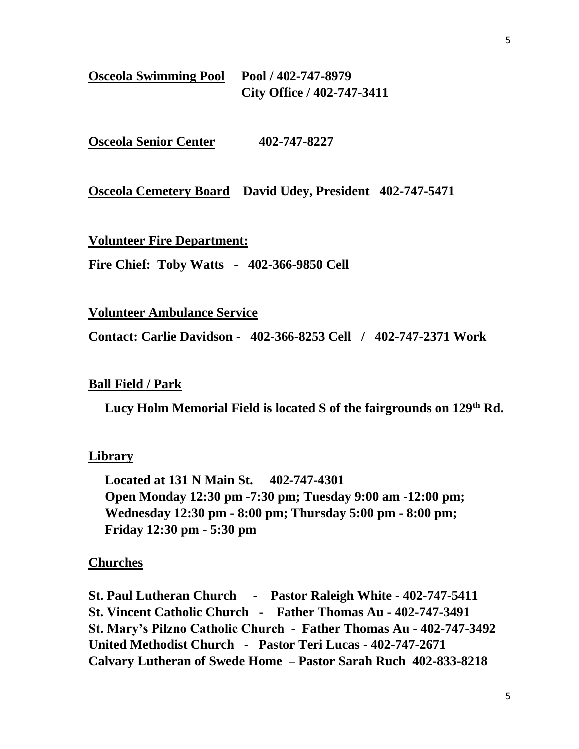| <b>Osceola Swimming Pool</b> | Pool / 402-747-8979        |  |
|------------------------------|----------------------------|--|
|                              | City Office / 402-747-3411 |  |

**Osceola Senior Center 402-747-8227** 

**Osceola Cemetery Board David Udey, President 402-747-5471**

**Volunteer Fire Department:**

**Fire Chief: Toby Watts - 402-366-9850 Cell** 

**Volunteer Ambulance Service**

**Contact: Carlie Davidson - 402-366-8253 Cell / 402-747-2371 Work**

#### **Ball Field / Park**

 **Lucy Holm Memorial Field is located S of the fairgrounds on 129th Rd.**

#### **Library**

 **Located at 131 N Main St. 402-747-4301 Open Monday 12:30 pm -7:30 pm; Tuesday 9:00 am -12:00 pm; Wednesday 12:30 pm - 8:00 pm; Thursday 5:00 pm - 8:00 pm; Friday 12:30 pm - 5:30 pm**

#### **Churches**

**St. Paul Lutheran Church - Pastor Raleigh White - 402-747-5411 St. Vincent Catholic Church - Father Thomas Au - 402-747-3491 St. Mary's Pilzno Catholic Church - Father Thomas Au - 402-747-3492 United Methodist Church - Pastor Teri Lucas - 402-747-2671 Calvary Lutheran of Swede Home – Pastor Sarah Ruch 402-833-8218**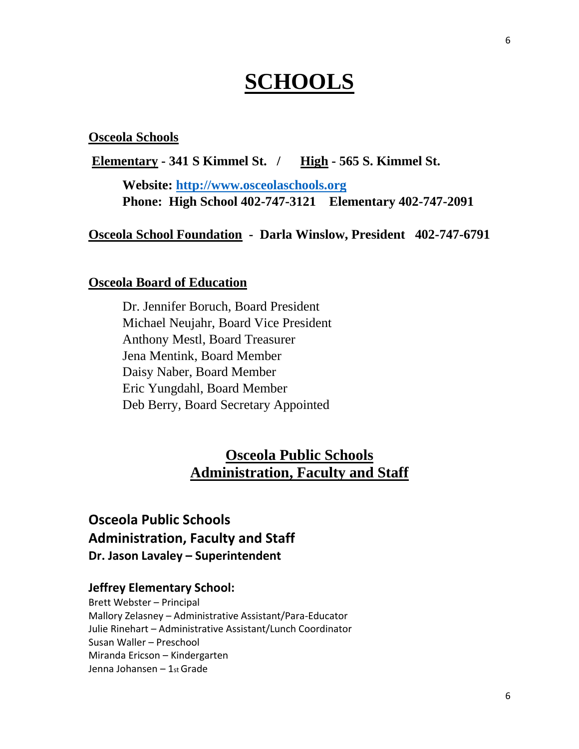# **SCHOOLS**

#### **Osceola Schools**

**Elementary - 341 S Kimmel St. / High - 565 S. Kimmel St.** 

**Website: [http://www.osceolaschools.org](http://www.osceolaschools.org/) Phone: High School 402-747-3121 Elementary 402-747-2091**

**Osceola School Foundation - Darla Winslow, President 402-747-6791**

#### **Osceola Board of Education**

Dr. Jennifer Boruch, Board President Michael Neujahr, Board Vice President Anthony Mestl, Board Treasurer Jena Mentink, Board Member Daisy Naber, Board Member Eric Yungdahl, Board Member Deb Berry, Board Secretary Appointed

## **Osceola Public Schools Administration, Faculty and Staff**

## **Osceola Public Schools Administration, Faculty and Staff Dr. Jason Lavaley – Superintendent**

#### **Jeffrey Elementary School:**

Brett Webster – Principal Mallory Zelasney – Administrative Assistant/Para-Educator Julie Rinehart – Administrative Assistant/Lunch Coordinator Susan Waller – Preschool Miranda Ericson – Kindergarten Jenna Johansen – 1st Grade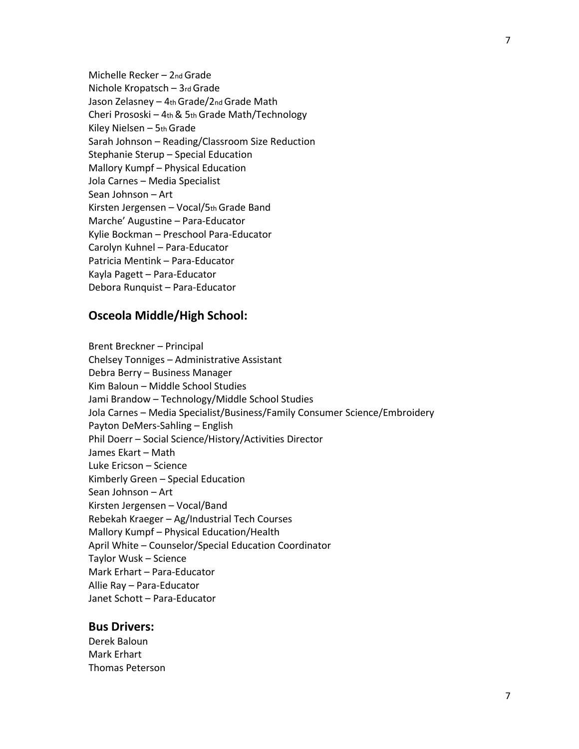Michelle Recker – 2nd Grade Nichole Kropatsch – 3rd Grade Jason Zelasney – 4th Grade/2nd Grade Math Cheri Prososki – 4th & 5th Grade Math/Technology Kiley Nielsen – 5th Grade Sarah Johnson – Reading/Classroom Size Reduction Stephanie Sterup – Special Education Mallory Kumpf – Physical Education Jola Carnes – Media Specialist Sean Johnson – Art Kirsten Jergensen – Vocal/5th Grade Band Marche' Augustine – Para-Educator Kylie Bockman – Preschool Para-Educator Carolyn Kuhnel – Para-Educator Patricia Mentink – Para-Educator Kayla Pagett – Para-Educator Debora Runquist – Para-Educator

#### **Osceola Middle/High School:**

Brent Breckner – Principal Chelsey Tonniges – Administrative Assistant Debra Berry – Business Manager Kim Baloun – Middle School Studies Jami Brandow – Technology/Middle School Studies Jola Carnes – Media Specialist/Business/Family Consumer Science/Embroidery Payton DeMers-Sahling – English Phil Doerr – Social Science/History/Activities Director James Ekart – Math Luke Ericson – Science Kimberly Green – Special Education Sean Johnson – Art Kirsten Jergensen – Vocal/Band Rebekah Kraeger – Ag/Industrial Tech Courses Mallory Kumpf – Physical Education/Health April White – Counselor/Special Education Coordinator Taylor Wusk – Science Mark Erhart – Para-Educator Allie Ray – Para-Educator Janet Schott – Para-Educator

#### **Bus Drivers:**

Derek Baloun Mark Erhart Thomas Peterson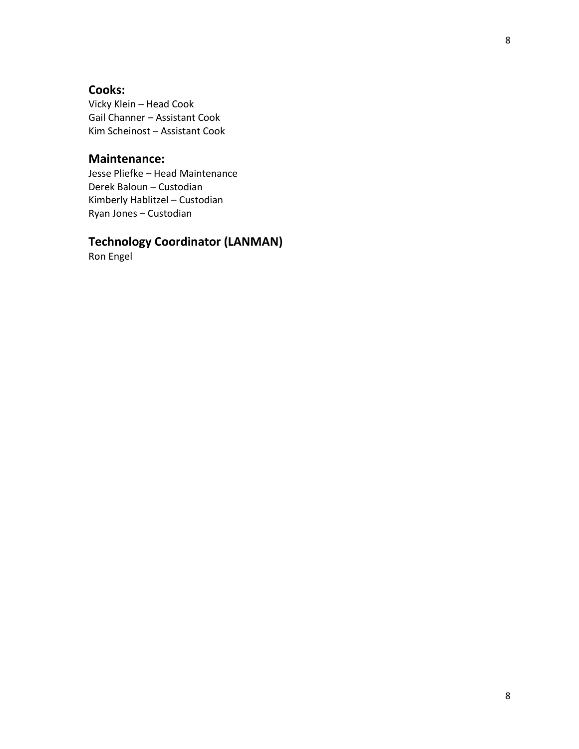### **Cooks:**

Vicky Klein – Head Cook Gail Channer – Assistant Cook Kim Scheinost – Assistant Cook

#### **Maintenance:**

Jesse Pliefke – Head Maintenance Derek Baloun – Custodian Kimberly Hablitzel – Custodian Ryan Jones – Custodian

## **Technology Coordinator (LANMAN)**

Ron Engel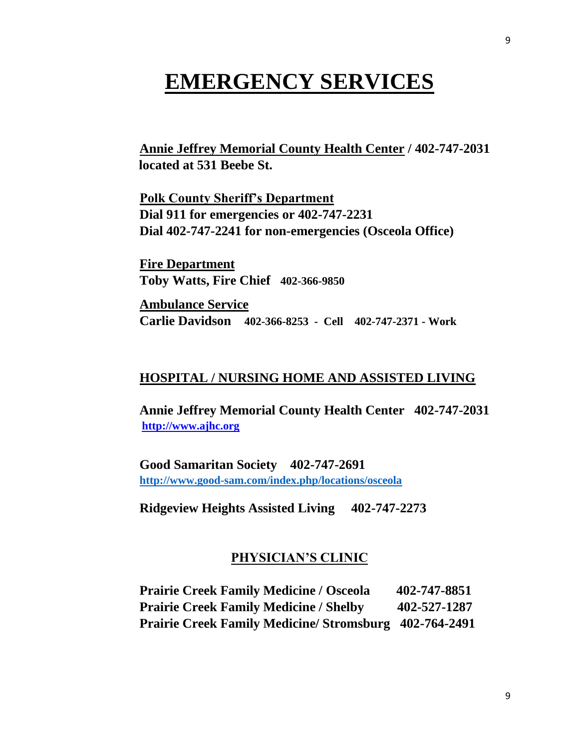## **EMERGENCY SERVICES**

**Annie Jeffrey Memorial County Health Center / 402-747-2031 located at 531 Beebe St.** 

**Polk County Sheriff's Department Dial 911 for emergencies or 402-747-2231 Dial 402-747-2241 for non-emergencies (Osceola Office)**

**Fire Department Toby Watts, Fire Chief 402-366-9850** 

**Ambulance Service Carlie Davidson 402-366-8253 - Cell 402-747-2371 - Work**

#### **HOSPITAL / NURSING HOME AND ASSISTED LIVING**

**Annie Jeffrey Memorial County Health Center 402-747-2031 [http://www.ajhc.org](http://www.ajhc.org/)**

**Good Samaritan Society 402-747-2691 <http://www.good-sam.com/index.php/locations/osceola>**

**Ridgeview Heights Assisted Living 402-747-2273**

#### **PHYSICIAN'S CLINIC**

**Prairie Creek Family Medicine / Osceola 402-747-8851 Prairie Creek Family Medicine / Shelby 402-527-1287 Prairie Creek Family Medicine/ Stromsburg 402-764-2491**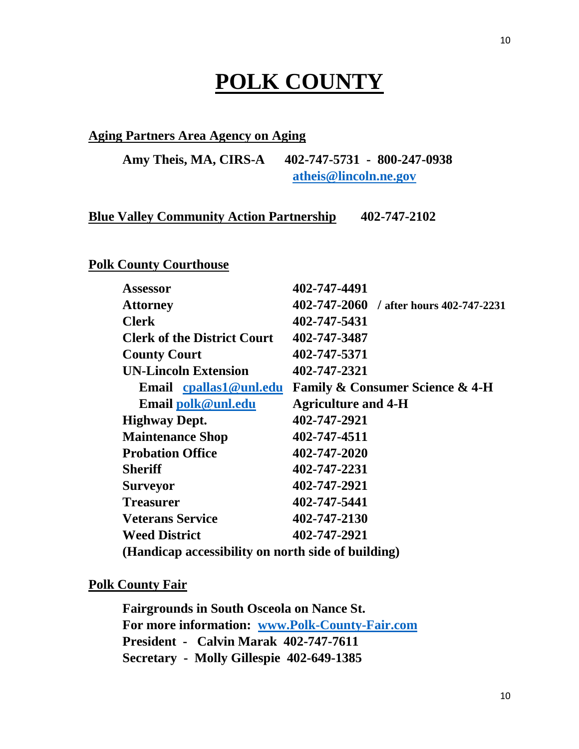# **POLK COUNTY**

#### **Aging Partners Area Agency on Aging**

**Amy Theis, MA, CIRS-A 402-747-5731 - 800-247-0938 [atheis@lincoln.ne.gov](mailto:atheis@lincoln.ne.gov)**

#### **Blue Valley Community Action Partnership 402-747-2102**

#### **Polk County Courthouse**

| <b>Assessor</b>                                    | 402-747-4491                                   |
|----------------------------------------------------|------------------------------------------------|
| <b>Attorney</b>                                    | 402-747-2060 / after hours 402-747-2231        |
| <b>Clerk</b>                                       | 402-747-5431                                   |
| <b>Clerk of the District Court</b>                 | 402-747-3487                                   |
| <b>County Court</b>                                | 402-747-5371                                   |
| <b>UN-Lincoln Extension</b>                        | 402-747-2321                                   |
| Email cpallas1@unl.edu                             | <b>Family &amp; Consumer Science &amp; 4-H</b> |
| Email polk@unl.edu                                 | <b>Agriculture and 4-H</b>                     |
| <b>Highway Dept.</b>                               | 402-747-2921                                   |
| <b>Maintenance Shop</b>                            | 402-747-4511                                   |
| <b>Probation Office</b>                            | 402-747-2020                                   |
| <b>Sheriff</b>                                     | 402-747-2231                                   |
| <b>Surveyor</b>                                    | 402-747-2921                                   |
| <b>Treasurer</b>                                   | 402-747-5441                                   |
| <b>Veterans Service</b>                            | 402-747-2130                                   |
| <b>Weed District</b>                               | 402-747-2921                                   |
| (Handicap accessibility on north side of building) |                                                |

**Polk County Fair**

**Fairgrounds in South Osceola on Nance St. For more information: [www.Polk-County-Fair.com](http://www.polk-county-fair.com/) President - Calvin Marak 402-747-7611 Secretary - Molly Gillespie 402-649-1385**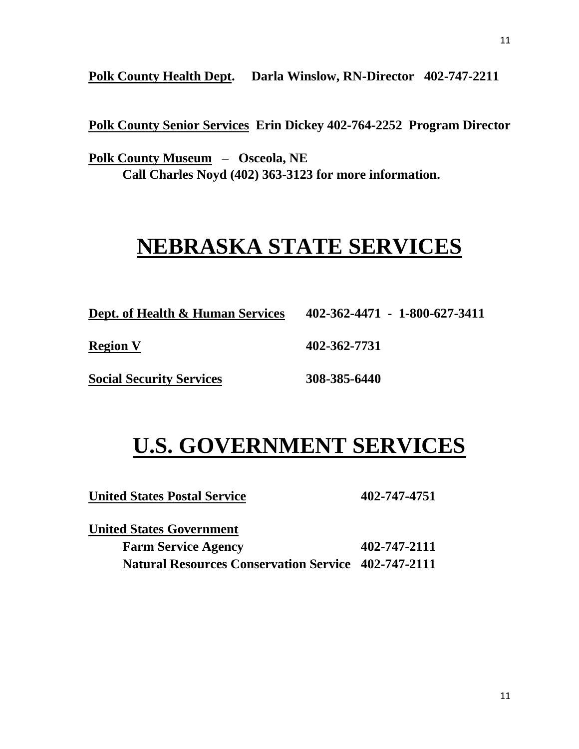**Polk County Health Dept. Darla Winslow, RN-Director 402-747-2211**

**Polk County Senior Services Erin Dickey 402-764-2252 Program Director**

**Polk County Museum – Osceola, NE Call Charles Noyd (402) 363-3123 for more information.**

# **NEBRASKA STATE SERVICES**

| <b>Dept. of Health &amp; Human Services</b> | 402-362-4471 - 1-800-627-3411 |
|---------------------------------------------|-------------------------------|
| <b>Region V</b>                             | 402-362-7731                  |
| <b>Social Security Services</b>             | 308-385-6440                  |

# **U.S. GOVERNMENT SERVICES**

**United States Postal Service 402-747-4751**

| <b>United States Government</b>                            |              |
|------------------------------------------------------------|--------------|
| <b>Farm Service Agency</b>                                 | 402-747-2111 |
| <b>Natural Resources Conservation Service 402-747-2111</b> |              |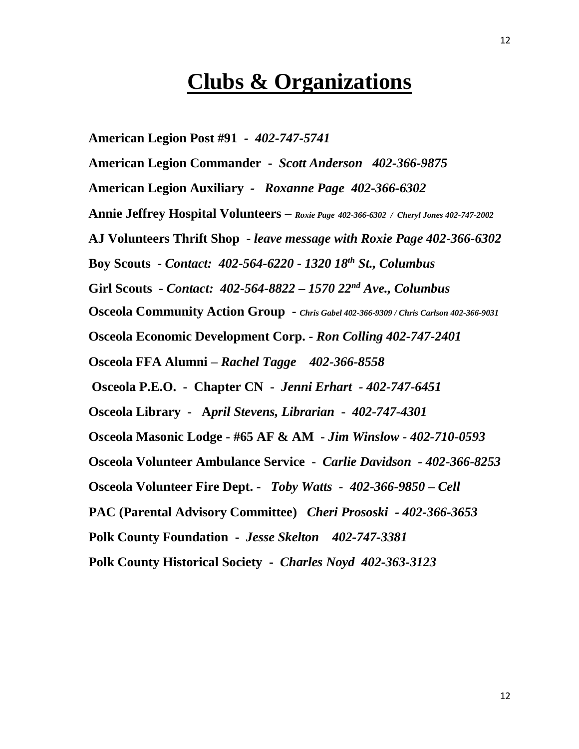## **Clubs & Organizations**

**American Legion Post #91** *- 402-747-5741* 

**American Legion Commander -** *Scott Anderson 402-366-9875*

**American Legion Auxiliary** *- Roxanne Page 402-366-6302*

**Annie Jeffrey Hospital Volunteers –** *Roxie Page 402-366-6302 / Cheryl Jones 402-747-2002*

**AJ Volunteers Thrift Shop -** *leave message with Roxie Page 402-366-6302*

**Boy Scouts -** *Contact: 402-564-6220 - 1320 18th St., Columbus*

**Girl Scouts -** *Contact: 402-564-8822 – 1570 22nd Ave., Columbus*

**Osceola Community Action Group -** *Chris Gabel 402-366-9309 / Chris Carlson 402-366-9031*

**Osceola Economic Development Corp. -** *Ron Colling 402-747-2401*

**Osceola FFA Alumni** *– Rachel Tagge 402-366-8558* 

**Osceola P.E.O. - Chapter CN -** *Jenni Erhart - 402-747-6451*

**Osceola Library - A***pril Stevens, Librarian* **-** *402-747-4301*

**O***s***ceola Masonic Lodge - #65 AF & AM -** *Jim Winslow - 402-710-0593*

**Osceola Volunteer Ambulance Service -** *Carlie Davidson - 402-366-8253*

**Osceola Volunteer Fire Dept. -** *Toby Watts - 402-366-9850 – Cell*

**PAC (Parental Advisory Committee)** *Cheri Prososki - 402-366-3653*

**Polk County Foundation -** *Jesse Skelton 402-747-3381*

**Polk County Historical Society -** *Charles Noyd 402-363-3123*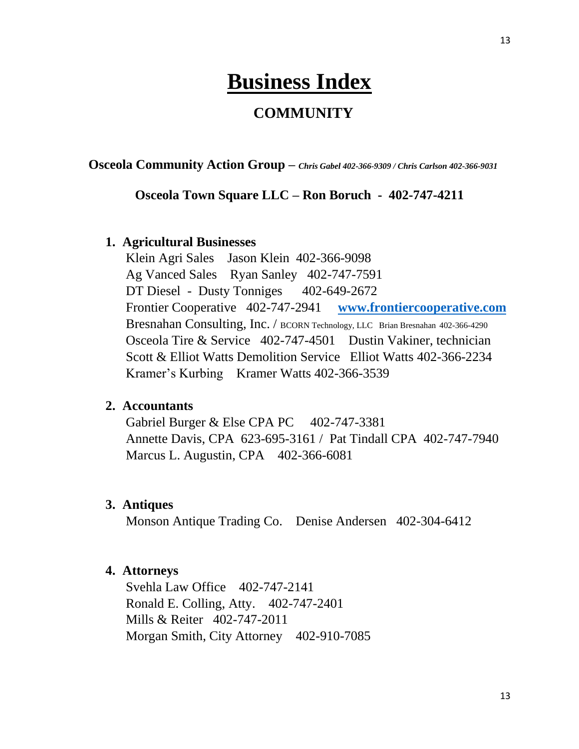# **Business Index**

## **COMMUNITY**

**Osceola Community Action Group –** *Chris Gabel 402-366-9309 / Chris Carlson 402-366-9031*

#### **Osceola Town Square LLC – Ron Boruch - 402-747-4211**

#### **1. Agricultural Businesses**

Klein Agri Sales Jason Klein 402-366-9098 Ag Vanced Sales Ryan Sanley 402-747-7591 DT Diesel - Dusty Tonniges 402-649-2672 Frontier Cooperative 402-747-2941 **[www.frontiercooperative.com](http://www.frontiercooperative.com/)** Bresnahan Consulting, Inc. / BCORN Technology, LLC Brian Bresnahan 402-366-4290 Osceola Tire & Service 402-747-4501 Dustin Vakiner, technician Scott & Elliot Watts Demolition Service Elliot Watts 402-366-2234 Kramer's Kurbing Kramer Watts 402-366-3539

#### **2. Accountants**

Gabriel Burger  $&$  Else CPA PC  $402-747-3381$ Annette Davis, CPA 623-695-3161 / Pat Tindall CPA 402-747-7940 Marcus L. Augustin, CPA 402-366-6081

#### **3. Antiques**

Monson Antique Trading Co. Denise Andersen 402-304-6412

#### **4. Attorneys**

Svehla Law Office 402-747-2141 Ronald E. Colling, Atty. 402-747-2401 Mills & Reiter 402-747-2011 Morgan Smith, City Attorney 402-910-7085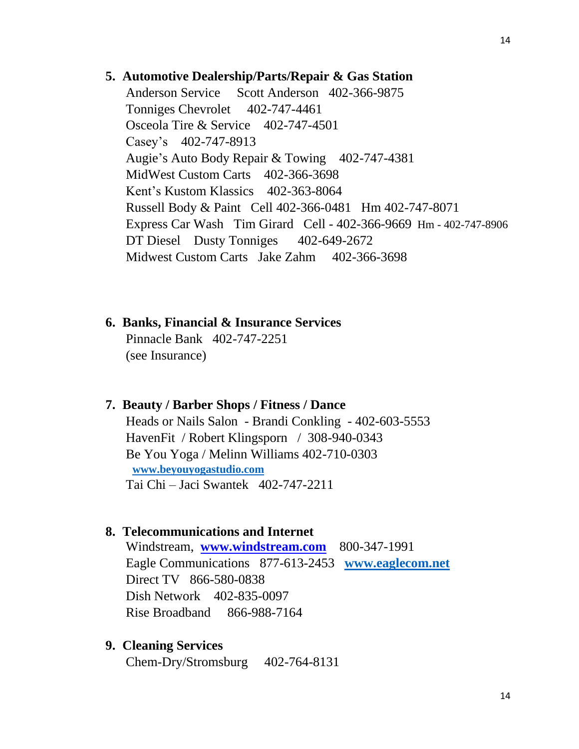#### **5. Automotive Dealership/Parts/Repair & Gas Station**

Anderson Service Scott Anderson 402-366-9875 Tonniges Chevrolet 402-747-4461 Osceola Tire & Service 402-747-4501 Casey's 402-747-8913 Augie's Auto Body Repair & Towing 402-747-4381 MidWest Custom Carts 402-366-3698 Kent's Kustom Klassics 402-363-8064 Russell Body & Paint Cell 402-366-0481 Hm 402-747-8071 Express Car Wash Tim Girard Cell - 402-366-9669 Hm - 402-747-8906 DT Diesel Dusty Tonniges 402-649-2672 Midwest Custom Carts Jake Zahm 402-366-3698

## **6. Banks, Financial & Insurance Services** Pinnacle Bank 402-747-2251

(see Insurance)

#### **7. Beauty / Barber Shops / Fitness / Dance**

Heads or Nails Salon - Brandi Conkling - 402-603-5553 HavenFit / Robert Klingsporn / 308-940-0343 Be You Yoga / Melinn Williams 402-710-0303 **[www.beyouyogastudio.com](http://www.beyouyogastudio.com/)**  Tai Chi – Jaci Swantek 402-747-2211

#### **8. Telecommunications and Internet**

Windstream, **[www.windstream.com](http://www.windstream.com/)** 800-347-1991 Eagle Communications 877-613-2453 **[www.eaglecom.net](http://www.eaglecom.net/)** Direct TV 866-580-0838 Dish Network 402-835-0097 Rise Broadband 866-988-7164

#### **9. Cleaning Services**

Chem-Dry/Stromsburg 402-764-8131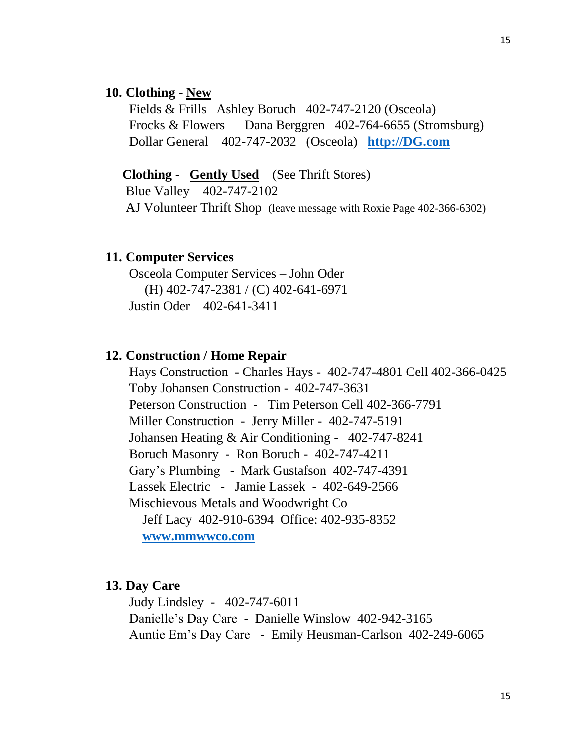#### **10. Clothing - New**

 Fields & Frills Ashley Boruch 402-747-2120 (Osceola) Frocks & Flowers Dana Berggren 402-764-6655 (Stromsburg) Dollar General 402-747-2032 (Osceola) **[http://DG.com](http://dg.com/)**

**Clothing - Gently Used** (See Thrift Stores)

Blue Valley 402-747-2102 AJ Volunteer Thrift Shop (leave message with Roxie Page 402-366-6302)

#### **11. Computer Services**

 Osceola Computer Services – John Oder (H) 402-747-2381 / (C) 402-641-6971 Justin Oder 402-641-3411

#### **12. Construction / Home Repair**

Hays Construction - Charles Hays - 402-747-4801 Cell 402-366-0425 Toby Johansen Construction - 402-747-3631 Peterson Construction - Tim Peterson Cell 402-366-7791 Miller Construction - Jerry Miller - 402-747-5191 Johansen Heating & Air Conditioning - 402-747-8241 Boruch Masonry - Ron Boruch - 402-747-4211 Gary's Plumbing - Mark Gustafson 402-747-4391 Lassek Electric - Jamie Lassek - 402-649-2566 Mischievous Metals and Woodwright Co Jeff Lacy 402-910-6394 Office: 402-935-8352 **[www.mmwwco.com](http://www.mmwwco.com/)**

#### **13. Day Care**

 Judy Lindsley - 402-747-6011 Danielle's Day Care - Danielle Winslow 402-942-3165 Auntie Em's Day Care - Emily Heusman-Carlson 402-249-6065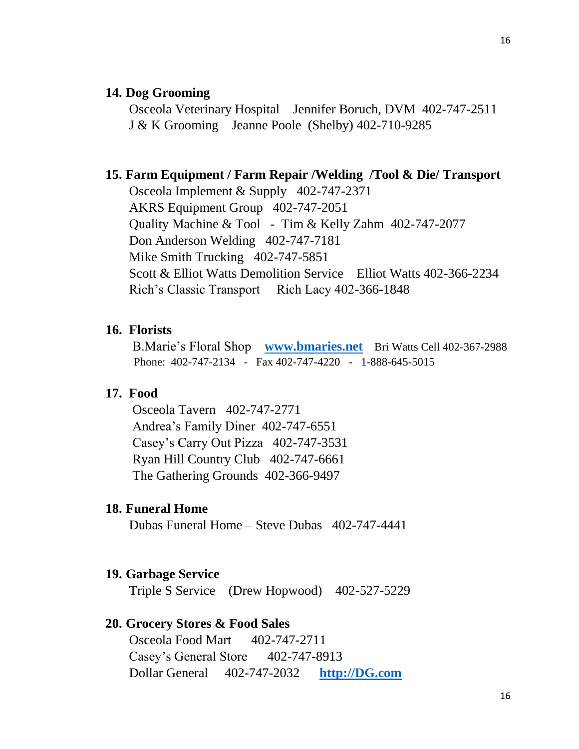#### **14. Dog Grooming**

Osceola Veterinary Hospital Jennifer Boruch, DVM 402-747-2511 J & K Grooming Jeanne Poole (Shelby) 402-710-9285

#### **15. Farm Equipment / Farm Repair /Welding /Tool & Die/ Transport**

Osceola Implement & Supply 402-747-2371 AKRS Equipment Group 402-747-2051 Quality Machine & Tool - Tim & Kelly Zahm 402-747-2077 Don Anderson Welding 402-747-7181 Mike Smith Trucking 402-747-5851 Scott & Elliot Watts Demolition Service Elliot Watts 402-366-2234 Rich's Classic Transport Rich Lacy 402-366-1848

#### **16. Florists**

 B.Marie's Floral Shop **[www.bmaries.net](http://www.bmaries.net/)** Bri Watts Cell 402-367-2988 Phone: 402-747-2134 - Fax 402-747-4220 - 1-888-645-5015

#### **17. Food**

Osceola Tavern 402-747-2771 Andrea's Family Diner 402-747-6551 Casey's Carry Out Pizza 402-747-3531 Ryan Hill Country Club 402-747-6661 The Gathering Grounds 402-366-9497

#### **18. Funeral Home**

Dubas Funeral Home – Steve Dubas 402-747-4441

#### **19. Garbage Service**

Triple S Service (Drew Hopwood) 402-527-5229

#### **20. Grocery Stores & Food Sales**

Osceola Food Mart 402-747-2711 Casey's General Store 402-747-8913 Dollar General 402-747-2032 **[http://DG.com](http://dg.com/)**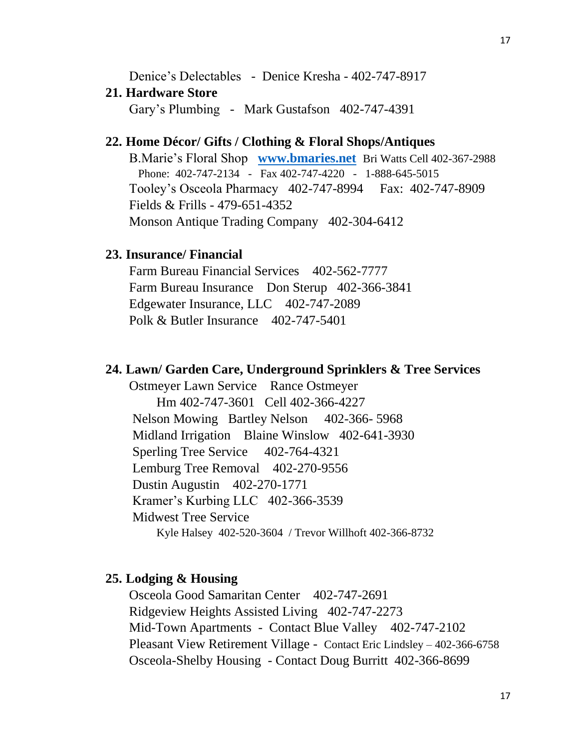Denice's Delectables - Denice Kresha - 402-747-8917

#### **21. Hardware Store**

Gary's Plumbing - Mark Gustafson 402-747-4391

## **22. Home Décor/ Gifts / Clothing & Floral Shops/Antiques**

 B.Marie's Floral Shop **[www.bmaries.net](http://www.bmaries.net/)** Bri Watts Cell 402-367-2988 Phone: 402-747-2134 - Fax 402-747-4220 - 1-888-645-5015 Tooley's Osceola Pharmacy 402-747-8994 Fax: 402-747-8909 Fields & Frills - 479-651-4352 Monson Antique Trading Company 402-304-6412

#### **23. Insurance/ Financial**

Farm Bureau Financial Services 402-562-7777 Farm Bureau Insurance Don Sterup 402-366-3841 Edgewater Insurance, LLC 402-747-2089 Polk & Butler Insurance 402-747-5401

#### **24. Lawn/ Garden Care, Underground Sprinklers & Tree Services**

Ostmeyer Lawn Service Rance Ostmeyer Hm 402-747-3601 Cell 402-366-4227 Nelson Mowing Bartley Nelson 402-366- 5968 Midland Irrigation Blaine Winslow 402-641-3930 Sperling Tree Service 402-764-4321 Lemburg Tree Removal 402-270-9556 Dustin Augustin 402-270-1771 Kramer's Kurbing LLC 402-366-3539 Midwest Tree Service Kyle Halsey 402-520-3604 / Trevor Willhoft 402-366-8732

#### **25. Lodging & Housing**

Osceola Good Samaritan Center 402-747-2691 Ridgeview Heights Assisted Living 402-747-2273 Mid-Town Apartments - Contact Blue Valley 402-747-2102 Pleasant View Retirement Village - Contact Eric Lindsley – 402-366-6758 Osceola-Shelby Housing - Contact Doug Burritt 402-366-8699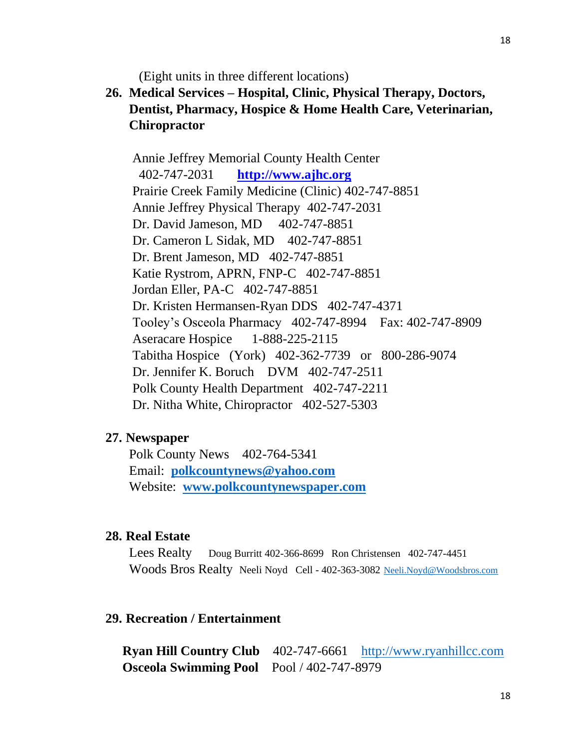(Eight units in three different locations)

## **26. Medical Services – Hospital, Clinic, Physical Therapy, Doctors, Dentist, Pharmacy, Hospice & Home Health Care, Veterinarian, Chiropractor**

Annie Jeffrey Memorial County Health Center 402-747-2031 **[http://www.ajhc.org](http://www.ajhc.org/)** Prairie Creek Family Medicine (Clinic) 402-747-8851 Annie Jeffrey Physical Therapy 402-747-2031 Dr. David Jameson, MD 402-747-8851 Dr. Cameron L Sidak, MD 402-747-8851 Dr. Brent Jameson, MD 402-747-8851 Katie Rystrom, APRN, FNP-C 402-747-8851 Jordan Eller, PA-C 402-747-8851 Dr. Kristen Hermansen-Ryan DDS 402-747-4371 Tooley's Osceola Pharmacy 402-747-8994 Fax: 402-747-8909 Aseracare Hospice 1-888-225-2115 Tabitha Hospice (York) 402-362-7739 or 800-286-9074 Dr. Jennifer K. Boruch DVM 402-747-2511 Polk County Health Department 402-747-2211 Dr. Nitha White, Chiropractor 402-527-5303

#### **27. Newspaper**

Polk County News 402-764-5341 Email: **[polkcountynews@yahoo.com](mailto:polkcountynews@yahoo.com)** Website: **[www.polkcountynewspaper.com](http://www.polkcountynewspaper.com/)**

#### **28. Real Estate**

Lees Realty Doug Burritt 402-366-8699 Ron Christensen 402-747-4451 Woods Bros Realty Neeli Noyd Cell - 402-363-3082 [Neeli.Noyd@Woodsbros.com](mailto:Neeli.Noyd@Woodsbros.com)

#### **29. Recreation / Entertainment**

**Ryan Hill Country Club** 402-747-6661 [http://www.ryanhillcc.com](http://www.ryanhillcc.com/) **Osceola Swimming Pool** Pool / 402-747-8979